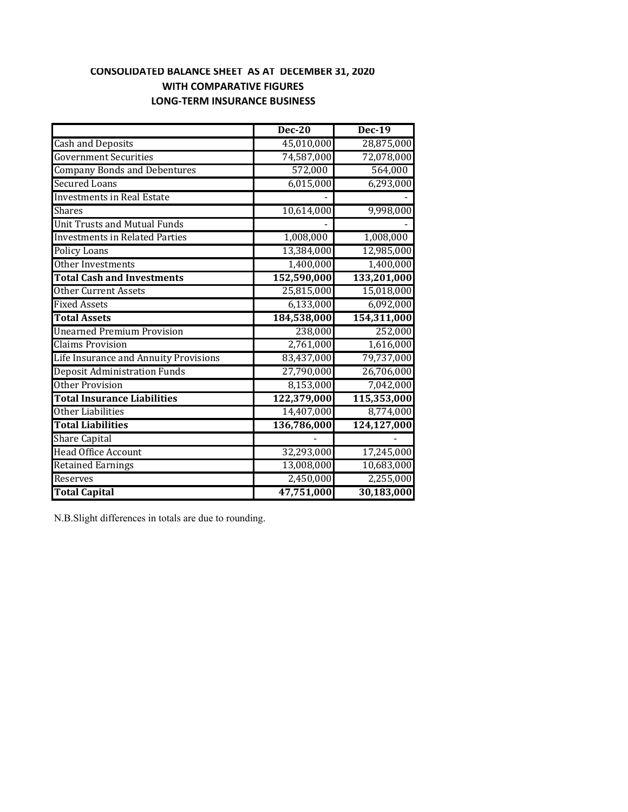#### **CONSOLIDATED BALANCE SHEET AS AT DECEMBER 31, 2020 WITH COMPARATIVE FIGURES LONG‐TERM INSURANCE BUSINESS**

|                                       | <b>Dec-20</b> | <b>Dec-19</b> |
|---------------------------------------|---------------|---------------|
| <b>Cash and Deposits</b>              | 45,010,000    | 28,875,000    |
| <b>Government Securities</b>          | 74,587,000    | 72,078,000    |
| <b>Company Bonds and Debentures</b>   | 572,000       | 564,000       |
| <b>Secured Loans</b>                  | 6,015,000     | 6,293,000     |
| <b>Investments in Real Estate</b>     |               |               |
| <b>Shares</b>                         | 10,614,000    | 9,998,000     |
| <b>Unit Trusts and Mutual Funds</b>   |               |               |
| <b>Investments in Related Parties</b> | 1,008,000     | 1,008,000     |
| <b>Policy Loans</b>                   | 13,384,000    | 12,985,000    |
| Other Investments                     | 1,400,000     | 1,400,000     |
| <b>Total Cash and Investments</b>     | 152,590,000   | 133,201,000   |
| <b>Other Current Assets</b>           | 25,815,000    | 15,018,000    |
| <b>Fixed Assets</b>                   | 6,133,000     | 6,092,000     |
| <b>Total Assets</b>                   | 184,538,000   | 154,311,000   |
| <b>Unearned Premium Provision</b>     | 238,000       | 252,000       |
| <b>Claims Provision</b>               | 2,761,000     | 1,616,000     |
| Life Insurance and Annuity Provisions | 83,437,000    | 79,737,000    |
| <b>Deposit Administration Funds</b>   | 27,790,000    | 26,706,000    |
| Other Provision                       | 8,153,000     | 7,042,000     |
| <b>Total Insurance Liabilities</b>    | 122,379,000   | 115,353,000   |
| Other Liabilities                     | 14,407,000    | 8,774,000     |
| <b>Total Liabilities</b>              | 136,786,000   | 124,127,000   |
| <b>Share Capital</b>                  |               |               |
| <b>Head Office Account</b>            | 32,293,000    | 17,245,000    |
| <b>Retained Earnings</b>              | 13,008,000    | 10,683,000    |
| Reserves                              | 2,450,000     | 2,255,000     |
| <b>Total Capital</b>                  | 47,751,000    | 30,183,000    |

N.B.Slight differences in totals are due to rounding.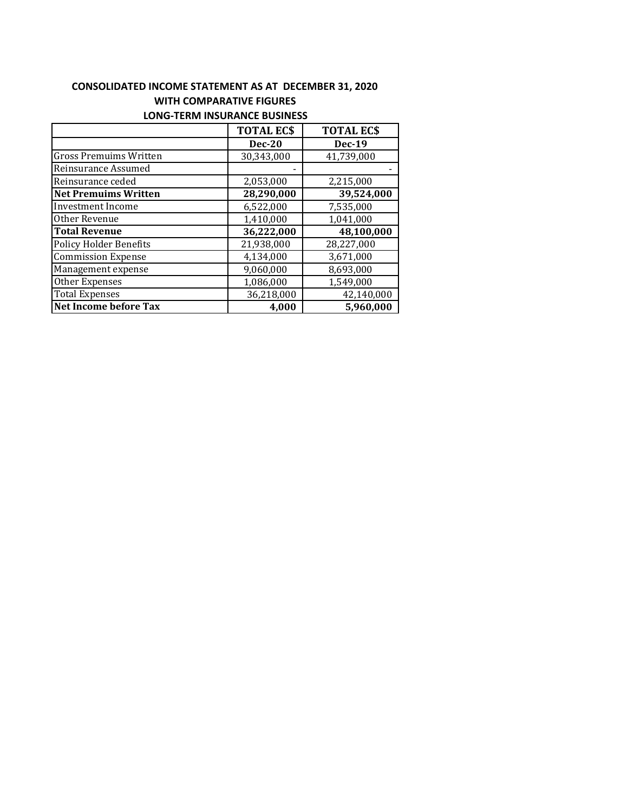## **CONSOLIDATED INCOME STATEMENT AS AT DECEMBER 31, 2020 WITH COMPARATIVE FIGURES**

|                               | <b>TOTAL ECS</b> | <b>TOTAL ECS</b> |
|-------------------------------|------------------|------------------|
|                               | <b>Dec-20</b>    | <b>Dec-19</b>    |
| <b>Gross Premuims Written</b> | 30,343,000       | 41,739,000       |
| Reinsurance Assumed           |                  |                  |
| Reinsurance ceded             | 2,053,000        | 2,215,000        |
| <b>Net Premuims Written</b>   | 28,290,000       | 39,524,000       |
| Investment Income             | 6,522,000        | 7,535,000        |
| Other Revenue                 | 1,410,000        | 1,041,000        |
| <b>Total Revenue</b>          | 36,222,000       | 48,100,000       |
| <b>Policy Holder Benefits</b> | 21,938,000       | 28,227,000       |
| <b>Commission Expense</b>     | 4,134,000        | 3,671,000        |
| Management expense            | 9,060,000        | 8,693,000        |
| Other Expenses                | 1,086,000        | 1,549,000        |
| <b>Total Expenses</b>         | 36,218,000       | 42,140,000       |
| <b>Net Income before Tax</b>  | 4.000            | 5,960,000        |

#### **LONG‐TERM INSURANCE BUSINESS**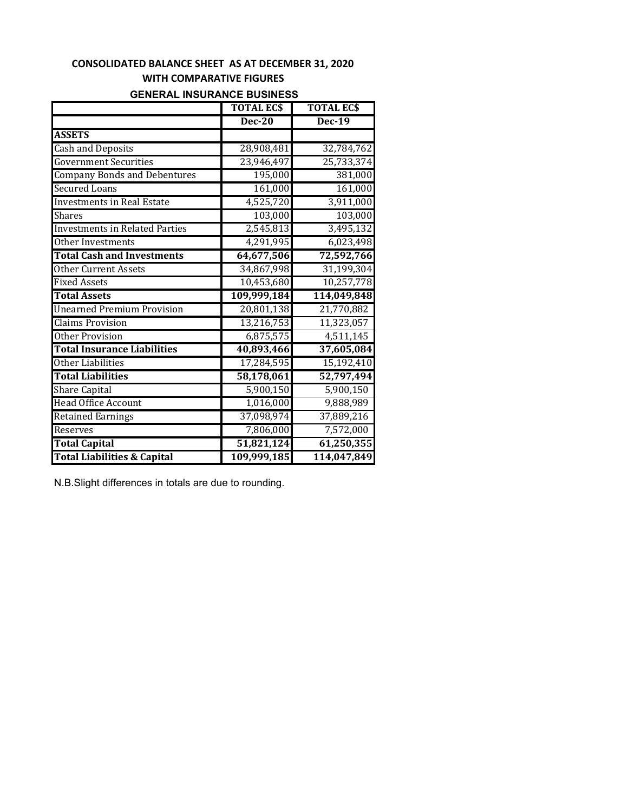### **CONSOLIDATED BALANCE SHEET AS AT DECEMBER 31, 2020 WITH COMPARATIVE FIGURES**

# **GENERAL INSURANCE BUSINESS**

|                                        | <b>TOTAL ECS</b> | <b>TOTAL ECS</b> |
|----------------------------------------|------------------|------------------|
|                                        | <b>Dec-20</b>    | $Dec-19$         |
| <b>ASSETS</b>                          |                  |                  |
| Cash and Deposits                      | 28,908,481       | 32,784,762       |
| <b>Government Securities</b>           | 23,946,497       | 25,733,374       |
| <b>Company Bonds and Debentures</b>    | 195,000          | 381,000          |
| <b>Secured Loans</b>                   | 161,000          | 161,000          |
| <b>Investments in Real Estate</b>      | 4,525,720        | 3,911,000        |
| <b>Shares</b>                          | 103,000          | 103,000          |
| <b>Investments in Related Parties</b>  | 2,545,813        | 3,495,132        |
| Other Investments                      | 4,291,995        | 6,023,498        |
| <b>Total Cash and Investments</b>      | 64,677,506       | 72,592,766       |
| <b>Other Current Assets</b>            | 34,867,998       | 31,199,304       |
| <b>Fixed Assets</b>                    | 10,453,680       | 10,257,778       |
| <b>Total Assets</b>                    | 109,999,184      | 114,049,848      |
| <b>Unearned Premium Provision</b>      | 20,801,138       | 21,770,882       |
| <b>Claims Provision</b>                | 13,216,753       | 11,323,057       |
| <b>Other Provision</b>                 | 6,875,575        | 4,511,145        |
| <b>Total Insurance Liabilities</b>     | 40,893,466       | 37,605,084       |
| Other Liabilities                      | 17,284,595       | 15,192,410       |
| <b>Total Liabilities</b>               | 58,178,061       | 52,797,494       |
| <b>Share Capital</b>                   | 5,900,150        | 5,900,150        |
| <b>Head Office Account</b>             | 1,016,000        | 9,888,989        |
| <b>Retained Earnings</b>               | 37,098,974       | 37,889,216       |
| Reserves                               | 7,806,000        | 7,572,000        |
| <b>Total Capital</b>                   | 51,821,124       | 61,250,355       |
| <b>Total Liabilities &amp; Capital</b> | 109,999,185      | 114,047,849      |

N.B.Slight differences in totals are due to rounding.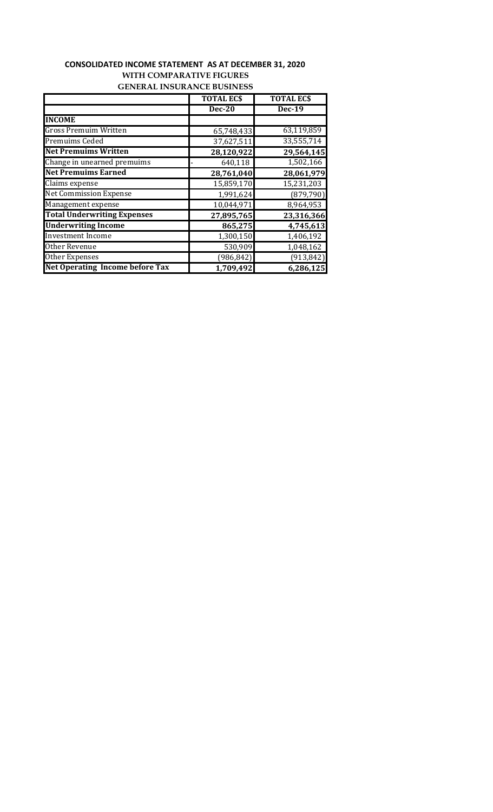### **CONSOLIDATED INCOME STATEMENT AS AT DECEMBER 31, 2020 WITH COMPARATIVE FIGURES GENERAL INSURANCE BUSINESS**

|                                        | <b>TOTAL ECS</b> | <b>TOTAL ECS</b> |
|----------------------------------------|------------------|------------------|
|                                        | <b>Dec-20</b>    | <b>Dec-19</b>    |
| <b>INCOME</b>                          |                  |                  |
| <b>Gross Premuim Written</b>           | 65,748,433       | 63,119,859       |
| Premuims Ceded                         | 37,627,511       | 33,555,714       |
| <b>Net Premuims Written</b>            | 28,120,922       | 29,564,145       |
| Change in unearned premuims            | 640,118          | 1,502,166        |
| <b>Net Premuims Earned</b>             | 28,761,040       | 28,061,979       |
| Claims expense                         | 15,859,170       | 15,231,203       |
| <b>Net Commission Expense</b>          | 1,991,624        | (879, 790)       |
| Management expense                     | 10,044,971       | 8,964,953        |
| <b>Total Underwriting Expenses</b>     | 27,895,765       | 23,316,366       |
| <b>Underwriting Income</b>             | 865,275          | 4,745,613        |
| <b>Investment Income</b>               | 1,300,150        | 1,406,192        |
| <b>Other Revenue</b>                   | 530,909          | 1,048,162        |
| Other Expenses                         | (986, 842)       | (913, 842)       |
| <b>Net Operating Income before Tax</b> | 1,709,492        | 6,286,125        |